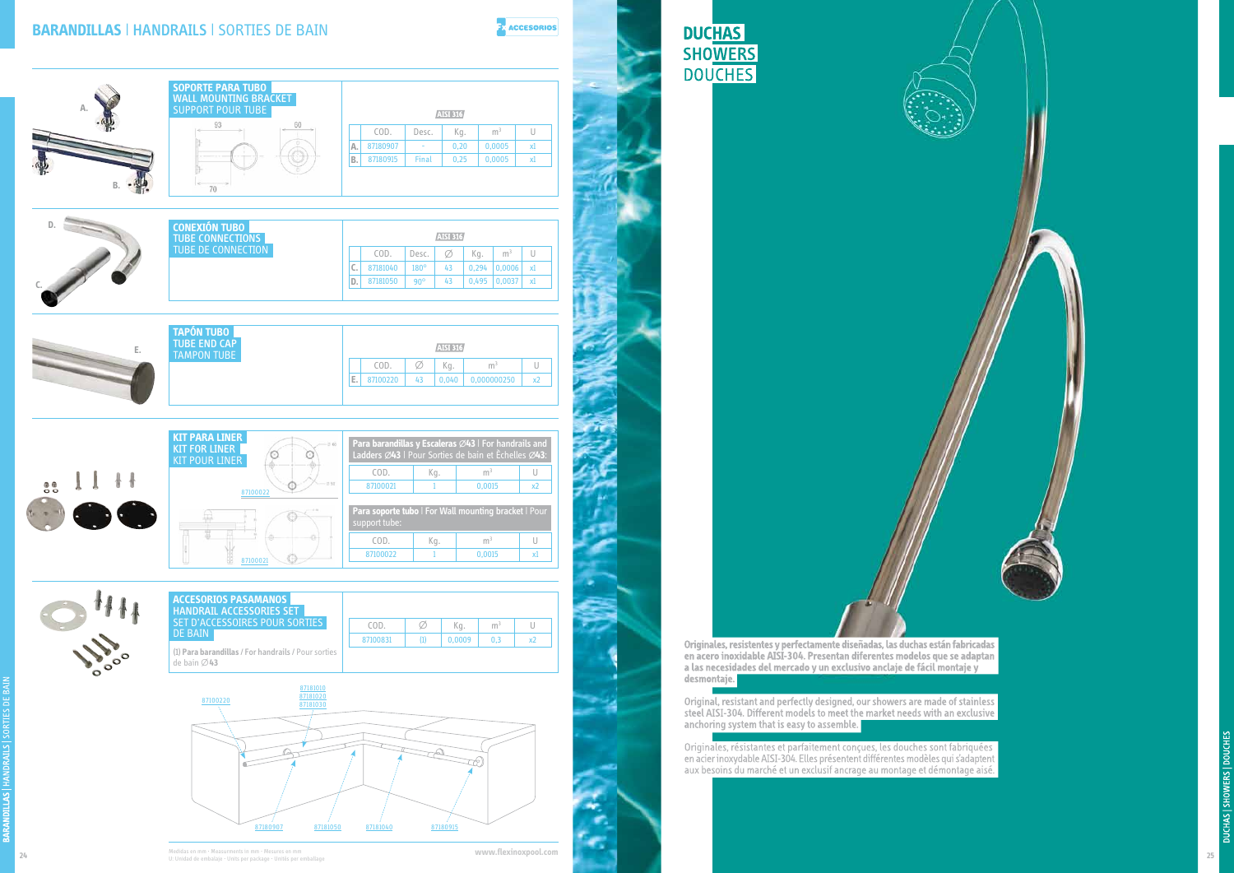



Originales, resistentes y perfectamente diseñadas, las duchas están fabricadas en acero inoxidable AISI-304. Presentan diferentes modelos que se adaptan<br>a las necesidades del mercado y un exclusivo anclaje de fácil montaje y desmontaje.

Original, resistant and perfectly designed, our showers are made of stainless steel AISI-304. Different models to meet the market needs with an exclusive anchoring system that is easy to assemble.

Originales, résistantes et parfaitement conçues, les douches sont fabriquées en acier inoxydable AISI-304. Elles présentent différentes modèles qui s'adaptent aux besoins du marché et un exclusif ancrage au montage et démontage aisé.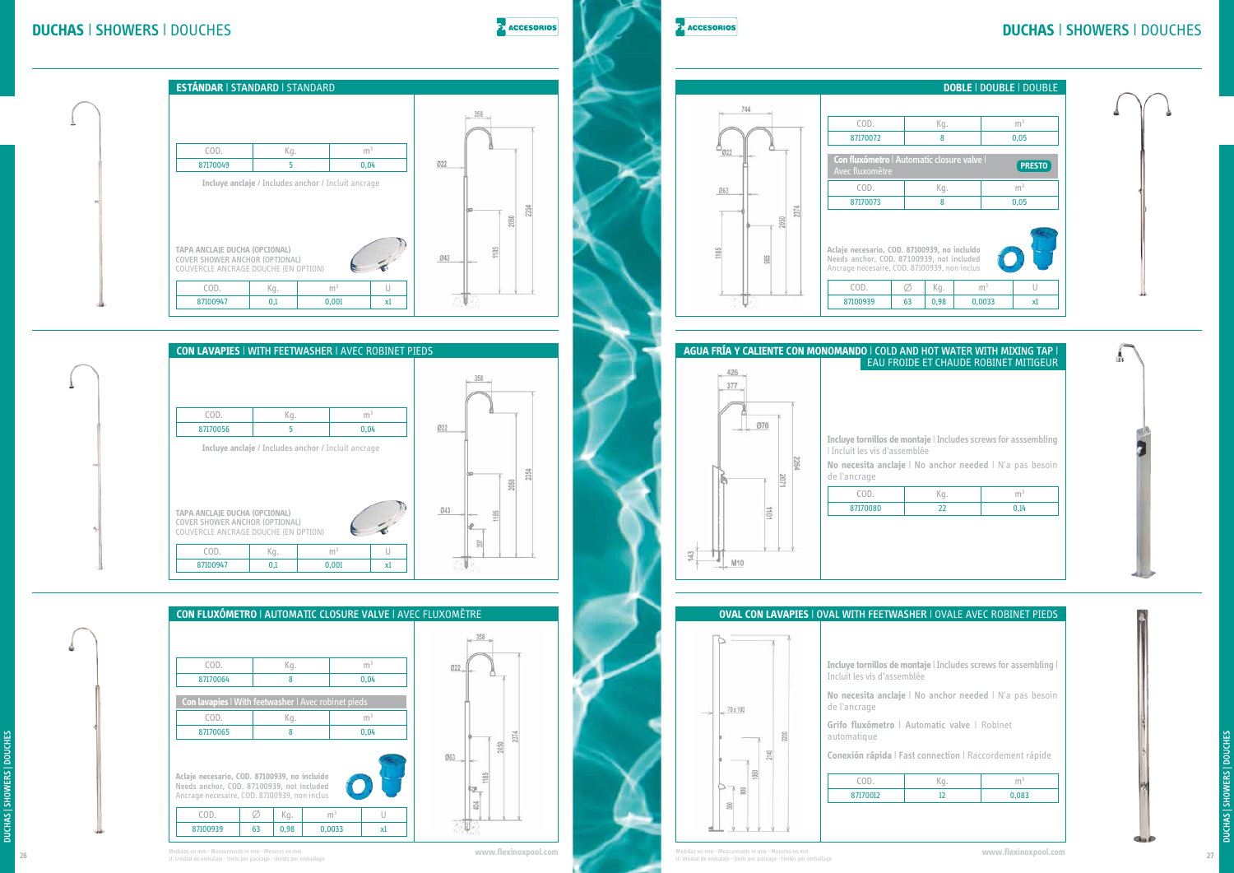# **DUCHAS** I SHOWERS I DOUCHES

### **AGUA FRÍA Y CALIENTE CON MONOMANDO** I COLD AND HOT WATER WITH MIXING TAP I  $426$  $377$  $\frac{1}{2}$  070 I Incluit les vis d'assemblée **No necesita anclaje** I No anchor needed I N'a pas besoin de l'ancrage 202 COD. 87170080 E  $143$ 백 M10



11 Unidad de embaliae unity measurements unity and the emballiance of the controlled and the controlled and the controlled and the controlled and the controlled and the controlled and the controlled and the controlled and Medidas en mm · Measurments in mm · Mesures en mm U: Unidad de embalaje · Units per package · Unités per emballage **www.flexinoxpool.com**

**OVAL CON LAVAPIES** I OVAL WITH FEETWASHER I OVALE AVEC ROBINET PIEDS



| ۸q. |      |
|-----|------|
| 22  | 0,14 |



Δ.



|      |                                                      | <b>DOBLE   DOUBLE   DOUBLE</b> |                |               |  |
|------|------------------------------------------------------|--------------------------------|----------------|---------------|--|
|      |                                                      |                                |                |               |  |
| Kg.  |                                                      |                                | m <sup>3</sup> |               |  |
| 8    |                                                      |                                | 0,05           |               |  |
|      | : closure valve l                                    |                                |                | <b>PRESTO</b> |  |
| Κg.  |                                                      |                                | m <sup>3</sup> |               |  |
| 8    |                                                      |                                | 0,05           |               |  |
|      | 39, no incluido<br>, not included<br>939, non inclus |                                |                |               |  |
| Kq.  |                                                      | m <sup>3</sup>                 |                | U             |  |
| 0,98 |                                                      | 0,0033                         |                | x1            |  |

**Incluye tornillos de montaje** I Includes screws for asssembling



| COD.                                                                    | Kg.                                                     | m <sup>3</sup> |
|-------------------------------------------------------------------------|---------------------------------------------------------|----------------|
|                                                                         |                                                         |                |
|                                                                         | Conexión rápida   Fast connection   Raccordement rápide |                |
| Grifo fluxómetro   Automatic valve   Robinet<br>automatique             |                                                         |                |
| No necesita anclaje   No anchor needed   N'a pas besoin<br>de l'ancrage |                                                         |                |
| Incluit les vis d'assemblée                                             |                                                         |                |

## **DUCHAS** I SHOWERS I DOUCHES

**E** ACCESORIOS

## E. ACCESORIOS



Medidas en mm · Measurments in mm · Mesures en mm



U: Unidad de embalaje · Units per package · Unités per emballage **www.flexinoxpool.com**

2354

**CON LAVAPIES** I WITH FEETWASHER I AVEC ROBINET PIEDS







| COD.                                                            | Kg. |                                                            | m <sup>3</sup> |     |
|-----------------------------------------------------------------|-----|------------------------------------------------------------|----------------|-----|
| 87170056                                                        | 5   |                                                            | 0.04           | Ø22 |
|                                                                 |     | <b>Incluye anclaje</b> / Includes anchor / Incluit ancrage |                |     |
|                                                                 |     |                                                            |                |     |
|                                                                 |     |                                                            |                |     |
|                                                                 |     |                                                            |                |     |
|                                                                 |     |                                                            |                | Ø43 |
| TAPA ANCLAJE DUCHA (OPCIONAL)<br>COVER SHOWER ANCHOR (OPTIONAL) |     |                                                            |                |     |
| COUVERCLE ANCRAGE DOUCHE (EN OPTION)                            |     |                                                            |                |     |
| COD.                                                            | Kg. | m <sup>3</sup>                                             |                |     |
| 87100947                                                        | 0,1 | 0.001                                                      | x1             |     |